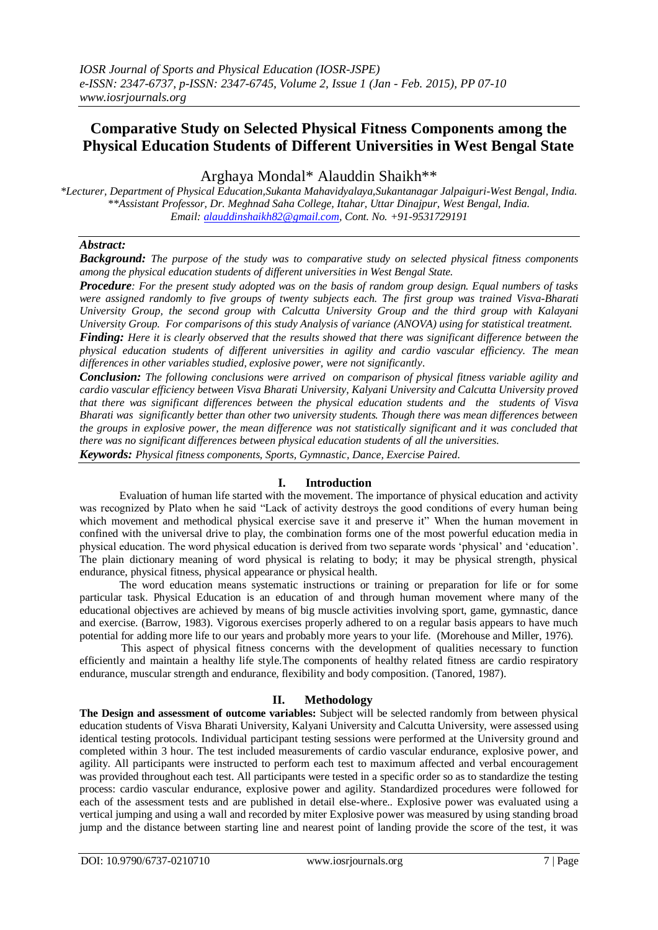# **Comparative Study on Selected Physical Fitness Components among the Physical Education Students of Different Universities in West Bengal State**

Arghaya Mondal\* Alauddin Shaikh\*\*

*\*Lecturer, Department of Physical Education,Sukanta Mahavidyalaya,Sukantanagar Jalpaiguri-West Bengal, India. \*\*Assistant Professor, Dr. Meghnad Saha College, Itahar, Uttar Dinajpur, West Bengal, India. Email: [alauddinshaikh82@gmail.com,](mailto:alauddinshaikh82@gmail.com) Cont. No. +91-9531729191*

# *Abstract:*

*Background: The purpose of the study was to comparative study on selected physical fitness components among the physical education students of different universities in West Bengal State.*

*Procedure: For the present study adopted was on the basis of random group design. Equal numbers of tasks were assigned randomly to five groups of twenty subjects each. The first group was trained Visva-Bharati University Group, the second group with Calcutta University Group and the third group with Kalayani University Group. For comparisons of this study Analysis of variance (ANOVA) using for statistical treatment.*

*Finding: Here it is clearly observed that the results showed that there was significant difference between the physical education students of different universities in agility and cardio vascular efficiency. The mean differences in other variables studied, explosive power, were not significantly.*

*Conclusion: The following conclusions were arrived on comparison of physical fitness variable agility and cardio vascular efficiency between Visva Bharati University, Kalyani University and Calcutta University proved that there was significant differences between the physical education students and the students of Visva Bharati was significantly better than other two university students. Though there was mean differences between the groups in explosive power, the mean difference was not statistically significant and it was concluded that there was no significant differences between physical education students of all the universities.*

*Keywords: Physical fitness components, Sports, Gymnastic, Dance, Exercise Paired.*

# **I. Introduction**

Evaluation of human life started with the movement. The importance of physical education and activity was recognized by Plato when he said "Lack of activity destroys the good conditions of every human being which movement and methodical physical exercise save it and preserve it" When the human movement in confined with the universal drive to play, the combination forms one of the most powerful education media in physical education. The word physical education is derived from two separate words "physical" and "education". The plain dictionary meaning of word physical is relating to body; it may be physical strength, physical endurance, physical fitness, physical appearance or physical health.

The word education means systematic instructions or training or preparation for life or for some particular task. Physical Education is an education of and through human movement where many of the educational objectives are achieved by means of big muscle activities involving sport, game, gymnastic, dance and exercise. (Barrow, 1983). Vigorous exercises properly adhered to on a regular basis appears to have much potential for adding more life to our years and probably more years to your life. (Morehouse and Miller, 1976).

This aspect of physical fitness concerns with the development of qualities necessary to function efficiently and maintain a healthy life style.The components of healthy related fitness are cardio respiratory endurance, muscular strength and endurance, flexibility and body composition. (Tanored, 1987).

# **II. Methodology**

**The Design and assessment of outcome variables:** Subject will be selected randomly from between physical education students of Visva Bharati University, Kalyani University and Calcutta University, were assessed using identical testing protocols. Individual participant testing sessions were performed at the University ground and completed within 3 hour. The test included measurements of cardio vascular endurance, explosive power, and agility. All participants were instructed to perform each test to maximum affected and verbal encouragement was provided throughout each test. All participants were tested in a specific order so as to standardize the testing process: cardio vascular endurance, explosive power and agility. Standardized procedures were followed for each of the assessment tests and are published in detail else-where.. Explosive power was evaluated using a vertical jumping and using a wall and recorded by miter Explosive power was measured by using standing broad jump and the distance between starting line and nearest point of landing provide the score of the test, it was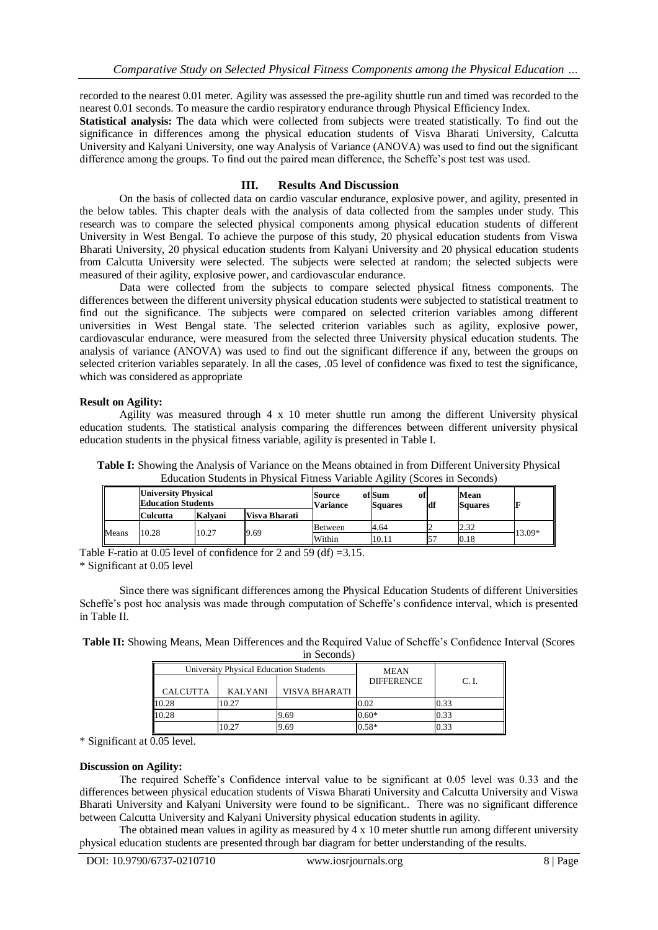recorded to the nearest 0.01 meter. Agility was assessed the pre-agility shuttle run and timed was recorded to the nearest 0.01 seconds. To measure the cardio respiratory endurance through Physical Efficiency Index.

**Statistical analysis:** The data which were collected from subjects were treated statistically. To find out the significance in differences among the physical education students of Visva Bharati University, Calcutta University and Kalyani University, one way Analysis of Variance (ANOVA) was used to find out the significant difference among the groups. To find out the paired mean difference, the Scheffe"s post test was used.

## **III. Results And Discussion**

On the basis of collected data on cardio vascular endurance, explosive power, and agility, presented in the below tables. This chapter deals with the analysis of data collected from the samples under study. This research was to compare the selected physical components among physical education students of different University in West Bengal. To achieve the purpose of this study, 20 physical education students from Viswa Bharati University, 20 physical education students from Kalyani University and 20 physical education students from Calcutta University were selected. The subjects were selected at random; the selected subjects were measured of their agility, explosive power, and cardiovascular endurance.

Data were collected from the subjects to compare selected physical fitness components. The differences between the different university physical education students were subjected to statistical treatment to find out the significance. The subjects were compared on selected criterion variables among different universities in West Bengal state. The selected criterion variables such as agility, explosive power, cardiovascular endurance, were measured from the selected three University physical education students. The analysis of variance (ANOVA) was used to find out the significant difference if any, between the groups on selected criterion variables separately. In all the cases, .05 level of confidence was fixed to test the significance, which was considered as appropriate

#### **Result on Agility:**

Agility was measured through 4 x 10 meter shuttle run among the different University physical education students. The statistical analysis comparing the differences between different university physical education students in the physical fitness variable, agility is presented in Table I.

| Table I: Showing the Analysis of Variance on the Means obtained in from Different University Physical |
|-------------------------------------------------------------------------------------------------------|
| Education Students in Physical Fitness Variable Agility (Scores in Seconds)                           |

| <b>University Physical</b><br><b>Education Students</b> |                 |         | Source<br><b>Variance</b> | ofiSum<br>ot<br><b>Squares</b> | df   | Mean<br><b>Squares</b> |        |  |
|---------------------------------------------------------|-----------------|---------|---------------------------|--------------------------------|------|------------------------|--------|--|
|                                                         | <b>Culcutta</b> | Kalvani | Visva Bharati             |                                |      |                        |        |  |
|                                                         |                 |         |                           | Between                        | 4.64 |                        | 2.32   |  |
| Means                                                   | 10.27<br>10.28  | 9.69    | Within                    | 10.11                          |      | 0.18                   | 13.09* |  |

Table F-ratio at 0.05 level of confidence for 2 and 59 (df) =  $3.15$ .

\* Significant at 0.05 level

Since there was significant differences among the Physical Education Students of different Universities Scheffe's post hoc analysis was made through computation of Scheffe's confidence interval, which is presented in Table II.

**Table II:** Showing Means, Mean Differences and the Required Value of Scheffe"s Confidence Interval (Scores in Seconds)

|                 | University Physical Education Students | <b>MEAN</b>   |                   |       |
|-----------------|----------------------------------------|---------------|-------------------|-------|
|                 |                                        |               | <b>DIFFERENCE</b> | C. I. |
| <b>CALCUTTA</b> | <b>KALYANI</b>                         | VISVA BHARATI |                   |       |
| 10.28           | 10.27                                  |               | 0.02              | 0.33  |
| 10.28           |                                        | 9.69          | $0.60*$           | 0.33  |
|                 | 0.27                                   | 9.69          | $0.58*$           | 0.33  |

\* Significant at 0.05 level.

#### **Discussion on Agility:**

The required Scheffe"s Confidence interval value to be significant at 0.05 level was 0.33 and the differences between physical education students of Viswa Bharati University and Calcutta University and Viswa Bharati University and Kalyani University were found to be significant.. There was no significant difference between Calcutta University and Kalyani University physical education students in agility.

The obtained mean values in agility as measured by 4 x 10 meter shuttle run among different university physical education students are presented through bar diagram for better understanding of the results.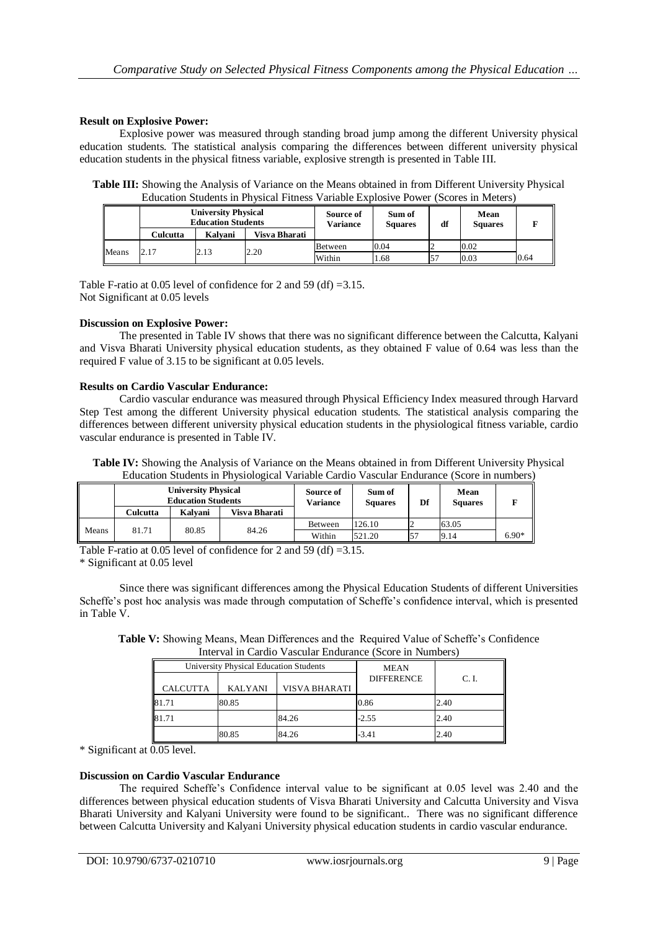## **Result on Explosive Power:**

Explosive power was measured through standing broad jump among the different University physical education students. The statistical analysis comparing the differences between different university physical education students in the physical fitness variable, explosive strength is presented in Table III.

**Table III:** Showing the Analysis of Variance on the Means obtained in from Different University Physical Education Students in Physical Fitness Variable Explosive Power (Scores in Meters)

|       | <b>University Physical</b><br><b>Education Students</b> |         |               | Source of<br><b>Variance</b> | Sum of<br><b>Squares</b> | df | Mean<br><b>Squares</b> |      |
|-------|---------------------------------------------------------|---------|---------------|------------------------------|--------------------------|----|------------------------|------|
|       | Culcutta                                                | Kalvani | Visva Bharati |                              |                          |    |                        |      |
|       |                                                         |         |               | Between                      | 0.04                     |    | 0.02                   |      |
| Means | 2.17                                                    | 2.13    | 2.20          | Within                       | 1.68                     |    | 0.03                   | 0.64 |

Table F-ratio at 0.05 level of confidence for 2 and 59 (df) =3.15. Not Significant at 0.05 levels

## **Discussion on Explosive Power:**

The presented in Table IV shows that there was no significant difference between the Calcutta, Kalyani and Visva Bharati University physical education students, as they obtained F value of 0.64 was less than the required F value of 3.15 to be significant at 0.05 levels.

#### **Results on Cardio Vascular Endurance:**

Cardio vascular endurance was measured through Physical Efficiency Index measured through Harvard Step Test among the different University physical education students. The statistical analysis comparing the differences between different university physical education students in the physiological fitness variable, cardio vascular endurance is presented in Table IV.

**Table IV:** Showing the Analysis of Variance on the Means obtained in from Different University Physical Education Students in Physiological Variable Cardio Vascular Endurance (Score in numbers)

|       | <b>University Physical</b><br><b>Education Students</b> |         | Source of<br>Variance | Sum of<br><b>Squares</b> | Df     | Mean<br><b>Squares</b> |       |         |
|-------|---------------------------------------------------------|---------|-----------------------|--------------------------|--------|------------------------|-------|---------|
|       | Culcutta                                                | Kalvani | Visva Bharati         |                          |        |                        |       |         |
|       |                                                         |         |                       | Between                  | 126.10 |                        | 63.05 |         |
| Means | 81.71                                                   | 80.85   | 84.26                 | Within                   | 521.20 |                        | 9.14  | $6.90*$ |

Table F-ratio at 0.05 level of confidence for 2 and 59 (df) =3.15.

\* Significant at 0.05 level

Since there was significant differences among the Physical Education Students of different Universities Scheffe's post hoc analysis was made through computation of Scheffe's confidence interval, which is presented in Table V.

Table V: Showing Means, Mean Differences and the Required Value of Scheffe's Confidence Interval in Cardio Vascular Endurance (Score in Numbers)

|                 | University Physical Education Students | MEAN          |                   |       |
|-----------------|----------------------------------------|---------------|-------------------|-------|
| <b>CALCUTTA</b> | <b>KALYANI</b>                         | VISVA BHARATI | <b>DIFFERENCE</b> | C. I. |
| 81.71           | 80.85                                  |               | 0.86              | 2.40  |
| 81.71           |                                        | 84.26         | $-2.55$           | 2.40  |
|                 | 80.85                                  | 84.26         | -3.41             | 2.40  |

\* Significant at 0.05 level.

# **Discussion on Cardio Vascular Endurance**

The required Scheffe"s Confidence interval value to be significant at 0.05 level was 2.40 and the differences between physical education students of Visva Bharati University and Calcutta University and Visva Bharati University and Kalyani University were found to be significant.. There was no significant difference between Calcutta University and Kalyani University physical education students in cardio vascular endurance.